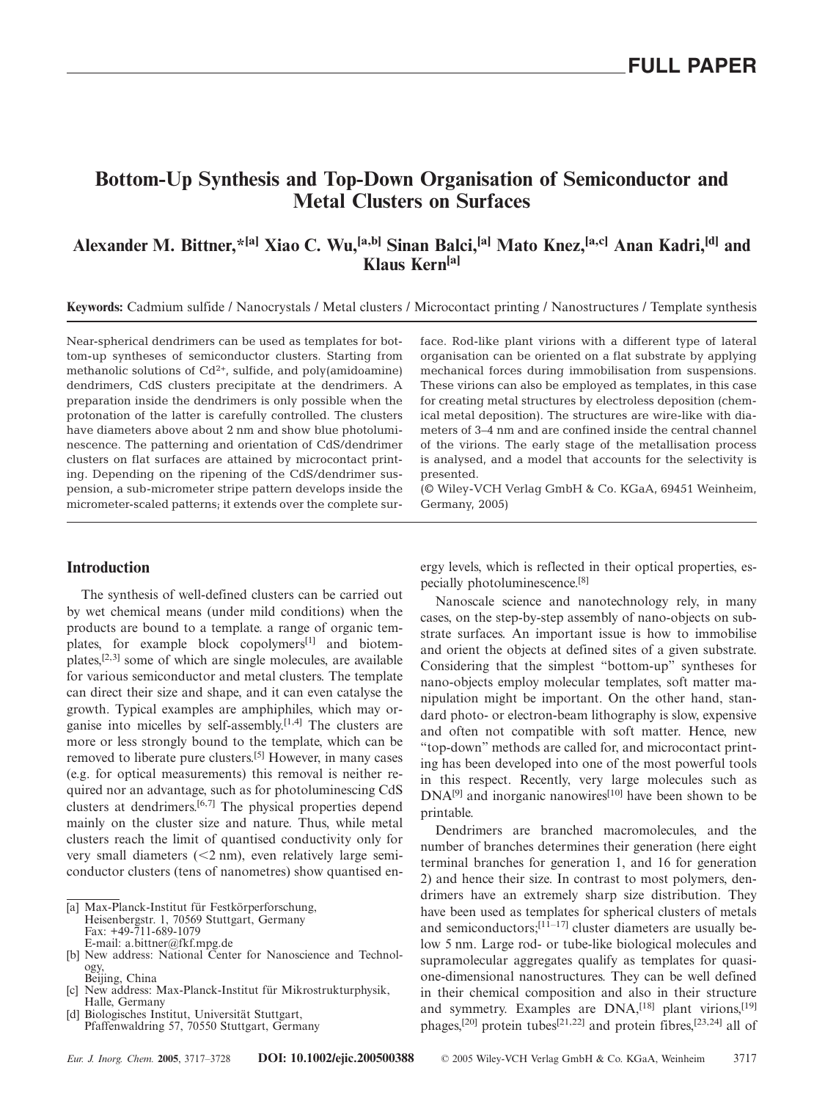# **Bottom-Up Synthesis and Top-Down Organisation of Semiconductor and Metal Clusters on Surfaces**

# **Alexander M. Bittner,\*[a] Xiao C. Wu,[a,b] Sinan Balci,[a] Mato Knez,[a,c] Anan Kadri,[d] and Klaus Kern[a]**

**Keywords:** Cadmium sulfide / Nanocrystals / Metal clusters / Microcontact printing / Nanostructures / Template synthesis

Near-spherical dendrimers can be used as templates for bottom-up syntheses of semiconductor clusters. Starting from methanolic solutions of  $Cd^{2+}$ , sulfide, and poly(amidoamine) dendrimers, CdS clusters precipitate at the dendrimers. A preparation inside the dendrimers is only possible when the protonation of the latter is carefully controlled. The clusters have diameters above about 2 nm and show blue photoluminescence. The patterning and orientation of CdS/dendrimer clusters on flat surfaces are attained by microcontact printing. Depending on the ripening of the CdS/dendrimer suspension, a sub-micrometer stripe pattern develops inside the micrometer-scaled patterns; it extends over the complete sur-

### **Introduction**

The synthesis of well-defined clusters can be carried out by wet chemical means (under mild conditions) when the products are bound to a template. a range of organic templates, for example block copolymers<sup>[1]</sup> and biotemplates, $[2,3]$  some of which are single molecules, are available for various semiconductor and metal clusters. The template can direct their size and shape, and it can even catalyse the growth. Typical examples are amphiphiles, which may organise into micelles by self-assembly.<sup>[1,4]</sup> The clusters are more or less strongly bound to the template, which can be removed to liberate pure clusters.[5] However, in many cases (e.g. for optical measurements) this removal is neither required nor an advantage, such as for photoluminescing CdS clusters at dendrimers.[6,7] The physical properties depend mainly on the cluster size and nature. Thus, while metal clusters reach the limit of quantised conductivity only for very small diameters  $(< 2$  nm), even relatively large semiconductor clusters (tens of nanometres) show quantised en-

- [b] New address: National Center for Nanoscience and Technology, Beijing, China
- [c] New address: Max-Planck-Institut für Mikrostrukturphysik, Halle, Germany
- [d] Biologisches Institut, Universität Stuttgart, Pfaffenwaldring 57, 70550 Stuttgart, Germany

face. Rod-like plant virions with a different type of lateral organisation can be oriented on a flat substrate by applying mechanical forces during immobilisation from suspensions. These virions can also be employed as templates, in this case for creating metal structures by electroless deposition (chemical metal deposition). The structures are wire-like with diameters of 3–4 nm and are confined inside the central channel of the virions. The early stage of the metallisation process is analysed, and a model that accounts for the selectivity is presented.

(© Wiley-VCH Verlag GmbH & Co. KGaA, 69451 Weinheim, Germany, 2005)

ergy levels, which is reflected in their optical properties, especially photoluminescence.[8]

Nanoscale science and nanotechnology rely, in many cases, on the step-by-step assembly of nano-objects on substrate surfaces. An important issue is how to immobilise and orient the objects at defined sites of a given substrate. Considering that the simplest "bottom-up" syntheses for nano-objects employ molecular templates, soft matter manipulation might be important. On the other hand, standard photo- or electron-beam lithography is slow, expensive and often not compatible with soft matter. Hence, new "top-down" methods are called for, and microcontact printing has been developed into one of the most powerful tools in this respect. Recently, very large molecules such as  $DNA^{[9]}$  and inorganic nanowires<sup>[10]</sup> have been shown to be printable.

Dendrimers are branched macromolecules, and the number of branches determines their generation (here eight terminal branches for generation 1, and 16 for generation 2) and hence their size. In contrast to most polymers, dendrimers have an extremely sharp size distribution. They have been used as templates for spherical clusters of metals and semiconductors; $[1\overline{1} - 17]$  cluster diameters are usually below 5 nm. Large rod- or tube-like biological molecules and supramolecular aggregates qualify as templates for quasione-dimensional nanostructures. They can be well defined in their chemical composition and also in their structure and symmetry. Examples are DNA,<sup>[18]</sup> plant virions.<sup>[19]</sup> phages,<sup>[20]</sup> protein tubes<sup>[21,22]</sup> and protein fibres,<sup>[23,24]</sup> all of

<sup>[</sup>a] Max-Planck-Institut für Festkörperforschung, Heisenbergstr. 1, 70569 Stuttgart, Germany

Fax: +49-711-689-1079 E-mail: a.bittner@fkf.mpg.de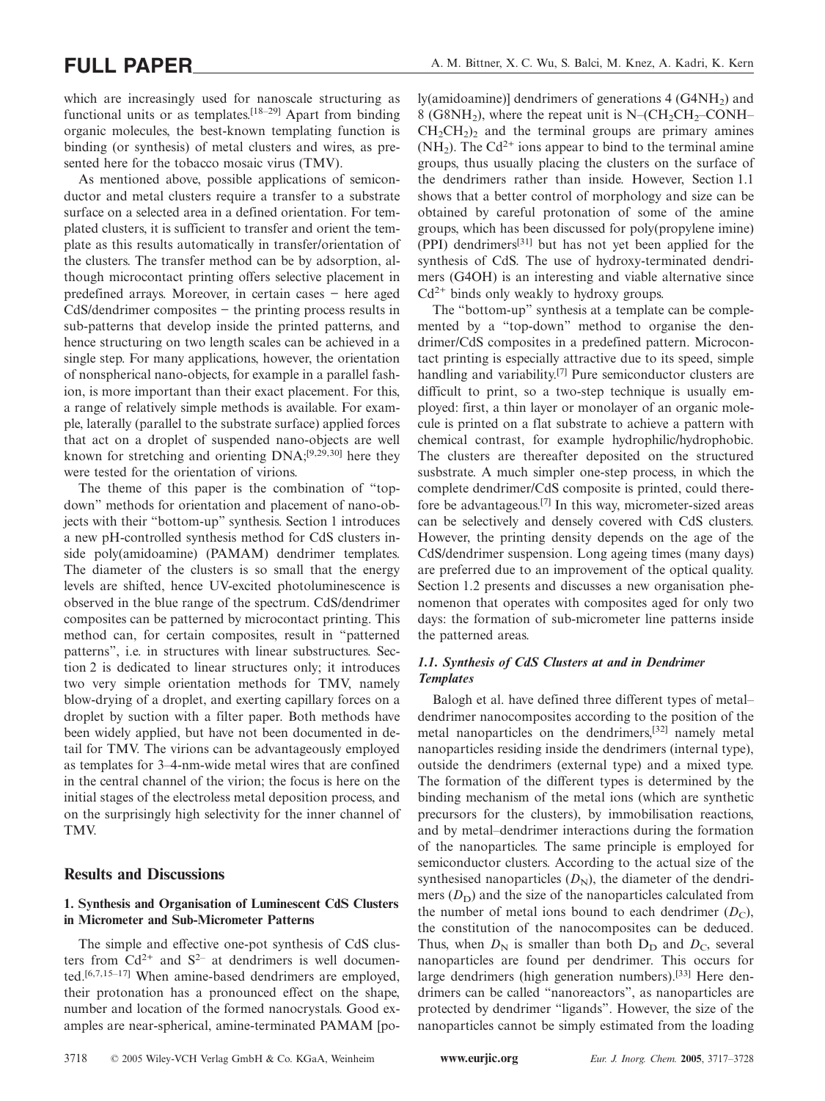which are increasingly used for nanoscale structuring as functional units or as templates.[18–29] Apart from binding organic molecules, the best-known templating function is binding (or synthesis) of metal clusters and wires, as presented here for the tobacco mosaic virus (TMV).

As mentioned above, possible applications of semiconductor and metal clusters require a transfer to a substrate surface on a selected area in a defined orientation. For templated clusters, it is sufficient to transfer and orient the template as this results automatically in transfer/orientation of the clusters. The transfer method can be by adsorption, although microcontact printing offers selective placement in predefined arrays. Moreover, in certain cases − here aged CdS/dendrimer composites − the printing process results in sub-patterns that develop inside the printed patterns, and hence structuring on two length scales can be achieved in a single step. For many applications, however, the orientation of nonspherical nano-objects, for example in a parallel fashion, is more important than their exact placement. For this, a range of relatively simple methods is available. For example, laterally (parallel to the substrate surface) applied forces that act on a droplet of suspended nano-objects are well known for stretching and orienting DNA;[9,29,30] here they were tested for the orientation of virions.

The theme of this paper is the combination of "topdown" methods for orientation and placement of nano-objects with their "bottom-up" synthesis. Section 1 introduces a new pH-controlled synthesis method for CdS clusters inside poly(amidoamine) (PAMAM) dendrimer templates. The diameter of the clusters is so small that the energy levels are shifted, hence UV-excited photoluminescence is observed in the blue range of the spectrum. CdS/dendrimer composites can be patterned by microcontact printing. This method can, for certain composites, result in "patterned patterns", i.e. in structures with linear substructures. Section 2 is dedicated to linear structures only; it introduces two very simple orientation methods for TMV, namely blow-drying of a droplet, and exerting capillary forces on a droplet by suction with a filter paper. Both methods have been widely applied, but have not been documented in detail for TMV. The virions can be advantageously employed as templates for 3–4-nm-wide metal wires that are confined in the central channel of the virion; the focus is here on the initial stages of the electroless metal deposition process, and on the surprisingly high selectivity for the inner channel of TMV.

# **Results and Discussions**

### **1. Synthesis and Organisation of Luminescent CdS Clusters in Micrometer and Sub-Micrometer Patterns**

The simple and effective one-pot synthesis of CdS clusters from  $Cd^{2+}$  and  $S^{2-}$  at dendrimers is well documented.[6,7,15–17] When amine-based dendrimers are employed, their protonation has a pronounced effect on the shape, number and location of the formed nanocrystals. Good examples are near-spherical, amine-terminated PAMAM [poly(amidoamine)] dendrimers of generations  $4 \text{ (G4NH)}$ ) and 8 (G8NH<sub>2</sub>), where the repeat unit is N–( $CH<sub>2</sub>CH<sub>2</sub>$ –CONH–  $CH<sub>2</sub>CH<sub>2</sub>$ )<sub>2</sub> and the terminal groups are primary amines  $(NH<sub>2</sub>)$ . The Cd<sup>2+</sup> ions appear to bind to the terminal amine groups, thus usually placing the clusters on the surface of the dendrimers rather than inside. However, Section 1.1 shows that a better control of morphology and size can be obtained by careful protonation of some of the amine groups, which has been discussed for poly(propylene imine) (PPI) dendrimers[31] but has not yet been applied for the synthesis of CdS. The use of hydroxy-terminated dendrimers (G4OH) is an interesting and viable alternative since  $Cd^{2+}$  binds only weakly to hydroxy groups.

The "bottom-up" synthesis at a template can be complemented by a "top-down" method to organise the dendrimer/CdS composites in a predefined pattern. Microcontact printing is especially attractive due to its speed, simple handling and variability.<sup>[7]</sup> Pure semiconductor clusters are difficult to print, so a two-step technique is usually employed: first, a thin layer or monolayer of an organic molecule is printed on a flat substrate to achieve a pattern with chemical contrast, for example hydrophilic/hydrophobic. The clusters are thereafter deposited on the structured susbstrate. A much simpler one-step process, in which the complete dendrimer/CdS composite is printed, could therefore be advantageous.[7] In this way, micrometer-sized areas can be selectively and densely covered with CdS clusters. However, the printing density depends on the age of the CdS/dendrimer suspension. Long ageing times (many days) are preferred due to an improvement of the optical quality. Section 1.2 presents and discusses a new organisation phenomenon that operates with composites aged for only two days: the formation of sub-micrometer line patterns inside the patterned areas.

# *1.1. Synthesis of CdS Clusters at and in Dendrimer Templates*

Balogh et al. have defined three different types of metal– dendrimer nanocomposites according to the position of the metal nanoparticles on the dendrimers,[32] namely metal nanoparticles residing inside the dendrimers (internal type), outside the dendrimers (external type) and a mixed type. The formation of the different types is determined by the binding mechanism of the metal ions (which are synthetic precursors for the clusters), by immobilisation reactions, and by metal–dendrimer interactions during the formation of the nanoparticles. The same principle is employed for semiconductor clusters. According to the actual size of the synthesised nanoparticles  $(D_N)$ , the diameter of the dendrimers  $(D_D)$  and the size of the nanoparticles calculated from the number of metal ions bound to each dendrimer  $(D_C)$ , the constitution of the nanocomposites can be deduced. Thus, when  $D_N$  is smaller than both  $D_D$  and  $D_C$ , several nanoparticles are found per dendrimer. This occurs for large dendrimers (high generation numbers).[33] Here dendrimers can be called "nanoreactors", as nanoparticles are protected by dendrimer "ligands". However, the size of the nanoparticles cannot be simply estimated from the loading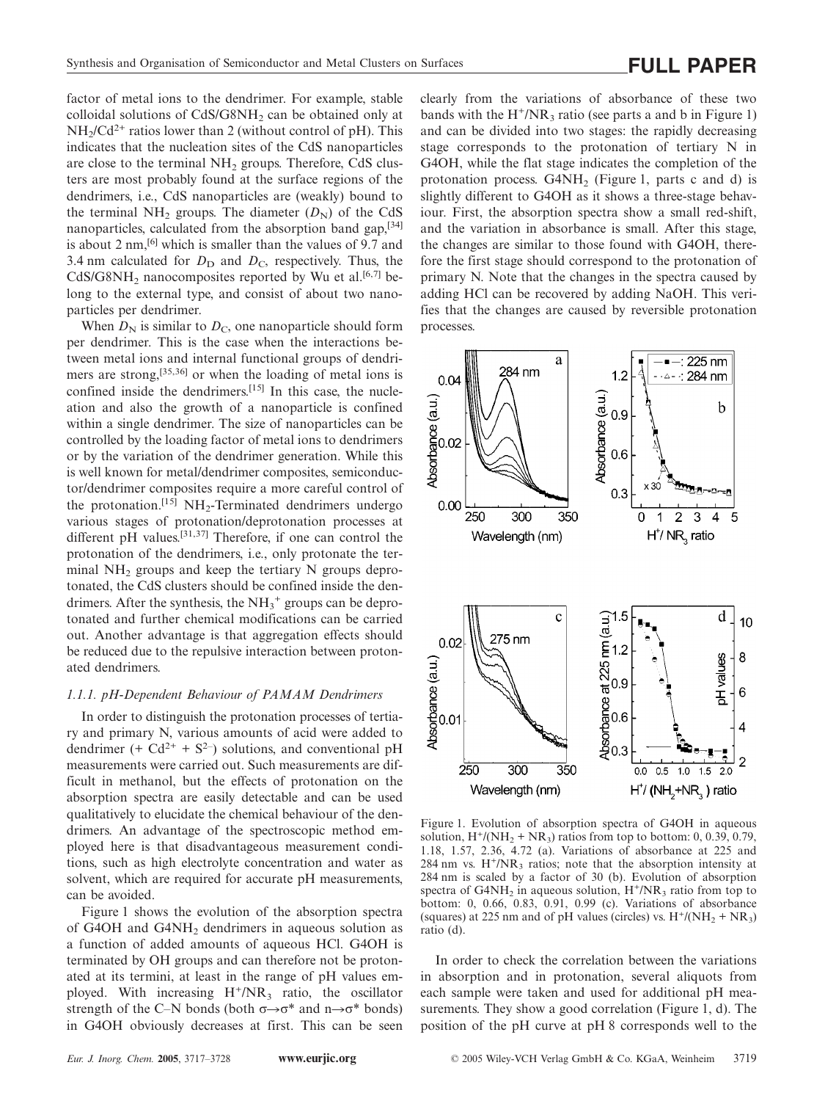factor of metal ions to the dendrimer. For example, stable colloidal solutions of  $CdS/G8NH<sub>2</sub>$  can be obtained only at  $NH<sub>2</sub>/Cd<sup>2+</sup>$  ratios lower than 2 (without control of pH). This indicates that the nucleation sites of the CdS nanoparticles are close to the terminal  $NH<sub>2</sub>$  groups. Therefore, CdS clusters are most probably found at the surface regions of the dendrimers, i.e., CdS nanoparticles are (weakly) bound to the terminal NH<sub>2</sub> groups. The diameter  $(D_N)$  of the CdS nanoparticles, calculated from the absorption band gap, [34] is about 2 nm,[6] which is smaller than the values of 9.7 and 3.4 nm calculated for  $D_D$  and  $D_C$ , respectively. Thus, the CdS/G8NH<sub>2</sub> nanocomposites reported by Wu et al.<sup>[6,7]</sup> belong to the external type, and consist of about two nanoparticles per dendrimer.

When  $D_N$  is similar to  $D_C$ , one nanoparticle should form per dendrimer. This is the case when the interactions between metal ions and internal functional groups of dendrimers are strong,<sup>[35,36]</sup> or when the loading of metal ions is confined inside the dendrimers.<sup>[15]</sup> In this case, the nucleation and also the growth of a nanoparticle is confined within a single dendrimer. The size of nanoparticles can be controlled by the loading factor of metal ions to dendrimers or by the variation of the dendrimer generation. While this is well known for metal/dendrimer composites, semiconductor/dendrimer composites require a more careful control of the protonation.<sup>[15]</sup> NH<sub>2</sub>-Terminated dendrimers undergo various stages of protonation/deprotonation processes at different pH values.[31,37] Therefore, if one can control the protonation of the dendrimers, i.e., only protonate the terminal  $NH<sub>2</sub>$  groups and keep the tertiary N groups deprotonated, the CdS clusters should be confined inside the dendrimers. After the synthesis, the  $NH_3^+$  groups can be deprotonated and further chemical modifications can be carried out. Another advantage is that aggregation effects should be reduced due to the repulsive interaction between protonated dendrimers.

### *1.1.1. pH-Dependent Behaviour of PAMAM Dendrimers*

In order to distinguish the protonation processes of tertiary and primary N, various amounts of acid were added to dendrimer (+  $Cd^{2+}$  +  $S^{2-}$ ) solutions, and conventional pH measurements were carried out. Such measurements are difficult in methanol, but the effects of protonation on the absorption spectra are easily detectable and can be used qualitatively to elucidate the chemical behaviour of the dendrimers. An advantage of the spectroscopic method employed here is that disadvantageous measurement conditions, such as high electrolyte concentration and water as solvent, which are required for accurate pH measurements, can be avoided.

Figure 1 shows the evolution of the absorption spectra of G4OH and G4NH<sub>2</sub> dendrimers in aqueous solution as a function of added amounts of aqueous HCl. G4OH is terminated by OH groups and can therefore not be protonated at its termini, at least in the range of pH values employed. With increasing  $H^+/NR_3$  ratio, the oscillator strength of the C–N bonds (both  $\sigma \rightarrow \sigma^*$  and  $n \rightarrow \sigma^*$  bonds) in G4OH obviously decreases at first. This can be seen clearly from the variations of absorbance of these two bands with the  $H^+/NR_3$  ratio (see parts a and b in Figure 1) and can be divided into two stages: the rapidly decreasing stage corresponds to the protonation of tertiary N in G4OH, while the flat stage indicates the completion of the protonation process.  $G4NH<sub>2</sub>$  (Figure 1, parts c and d) is slightly different to G4OH as it shows a three-stage behaviour. First, the absorption spectra show a small red-shift, and the variation in absorbance is small. After this stage, the changes are similar to those found with G4OH, therefore the first stage should correspond to the protonation of primary N. Note that the changes in the spectra caused by adding HCl can be recovered by adding NaOH. This verifies that the changes are caused by reversible protonation processes.



Figure 1. Evolution of absorption spectra of G4OH in aqueous solution,  $H^{\dagger}/(\text{NH}_2 + \text{NR}_3)$  ratios from top to bottom: 0, 0.39, 0.79, 1.18, 1.57, 2.36, 4.72 (a). Variations of absorbance at 225 and 284 nm vs.  $H^+/NR_3$  ratios; note that the absorption intensity at 284 nm is scaled by a factor of 30 (b). Evolution of absorption spectra of  $G4NH_2$  in aqueous solution,  $H^+/NR_3$  ratio from top to bottom: 0, 0.66, 0.83, 0.91, 0.99 (c). Variations of absorbance (squares) at 225 nm and of pH values (circles) vs.  $H^{\dagger}/(\text{NH}_{2} + \text{NR}_{3})$ ratio (d).

In order to check the correlation between the variations in absorption and in protonation, several aliquots from each sample were taken and used for additional pH measurements. They show a good correlation (Figure 1, d). The position of the pH curve at pH 8 corresponds well to the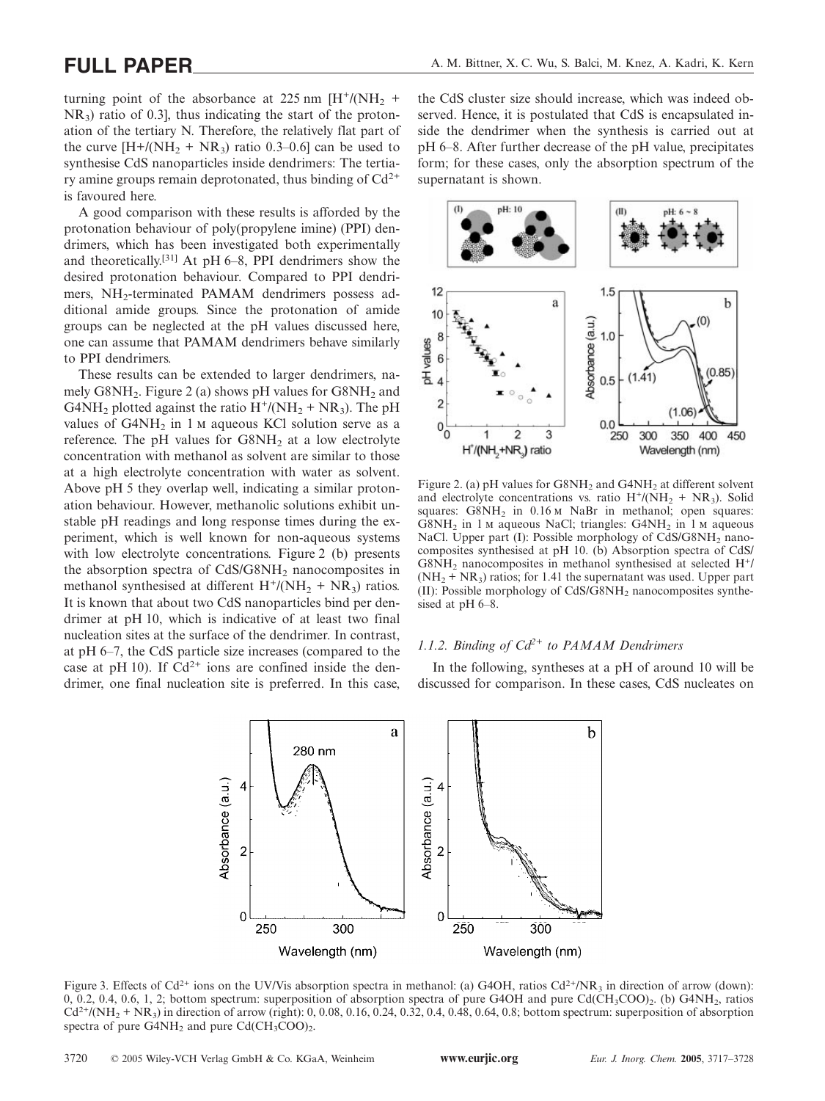turning point of the absorbance at 225 nm  $[H^+/(NH, +)]$  $NR_3$ ) ratio of 0.3], thus indicating the start of the protonation of the tertiary N. Therefore, the relatively flat part of the curve  $[H + / (NH<sub>2</sub> + NR<sub>3</sub>)$  ratio 0.3–0.6] can be used to synthesise CdS nanoparticles inside dendrimers: The tertiary amine groups remain deprotonated, thus binding of  $Cd^{2+}$ is favoured here.

A good comparison with these results is afforded by the protonation behaviour of poly(propylene imine) (PPI) dendrimers, which has been investigated both experimentally and theoretically.[31] At pH 6–8, PPI dendrimers show the desired protonation behaviour. Compared to PPI dendrimers, NH<sub>2</sub>-terminated PAMAM dendrimers possess additional amide groups. Since the protonation of amide groups can be neglected at the pH values discussed here, one can assume that PAMAM dendrimers behave similarly to PPI dendrimers.

These results can be extended to larger dendrimers, namely  $G8NH_2$ . Figure 2 (a) shows pH values for  $G8NH_2$  and G4NH<sub>2</sub> plotted against the ratio  $H^{\dagger}/(NH_2 + NR_3)$ . The pH values of  $G4NH<sub>2</sub>$  in 1  $M$  aqueous KCl solution serve as a reference. The pH values for  $G8NH<sub>2</sub>$  at a low electrolyte concentration with methanol as solvent are similar to those at a high electrolyte concentration with water as solvent. Above pH 5 they overlap well, indicating a similar protonation behaviour. However, methanolic solutions exhibit unstable pH readings and long response times during the experiment, which is well known for non-aqueous systems with low electrolyte concentrations. Figure 2 (b) presents the absorption spectra of CdS/G8NH<sub>2</sub> nanocomposites in methanol synthesised at different  $H^{\dagger}/(NH_2 + NR_3)$  ratios. It is known that about two CdS nanoparticles bind per dendrimer at pH 10, which is indicative of at least two final nucleation sites at the surface of the dendrimer. In contrast, at pH 6–7, the CdS particle size increases (compared to the case at pH 10). If  $Cd^{2+}$  ions are confined inside the dendrimer, one final nucleation site is preferred. In this case,

the CdS cluster size should increase, which was indeed observed. Hence, it is postulated that CdS is encapsulated inside the dendrimer when the synthesis is carried out at pH 6–8. After further decrease of the pH value, precipitates form; for these cases, only the absorption spectrum of the supernatant is shown.



Figure 2. (a) pH values for  $G8NH_2$  and  $G4NH_2$  at different solvent and electrolyte concentrations vs. ratio  $H^+/(NH_2 + NR_3)$ . Solid squares:  $G8NH_2$  in  $0.16 \text{ m}$  NaBr in methanol; open squares: G8NH<sub>2</sub> in 1  $\mu$  aqueous NaCl; triangles: G4NH<sub>2</sub> in 1  $\mu$  aqueous NaCl. Upper part (I): Possible morphology of CdS/G8NH<sub>2</sub> nanocomposites synthesised at pH 10. (b) Absorption spectra of CdS/  $G8NH<sub>2</sub>$  nanocomposites in methanol synthesised at selected  $H<sup>+</sup>/$  $(NH<sub>2</sub> + NR<sub>3</sub>)$  ratios; for 1.41 the supernatant was used. Upper part  $(II)$ : Possible morphology of CdS/G8NH<sub>2</sub> nanocomposites synthesised at pH 6–8.

# *1.1.2. Binding of Cd2+ to PAMAM Dendrimers*

In the following, syntheses at a pH of around 10 will be discussed for comparison. In these cases, CdS nucleates on



Figure 3. Effects of Cd<sup>2+</sup> ions on the UV/Vis absorption spectra in methanol: (a) G4OH, ratios Cd<sup>2+</sup>/NR<sub>3</sub> in direction of arrow (down): 0, 0.2, 0.4, 0.6, 1, 2; bottom spectrum: superposition of absorption spectra of pure G4OH and pure Cd(CH<sub>3</sub>COO)<sub>2</sub>. (b) G4NH<sub>2</sub>, ratios  $Cd^{2+}/(NH<sub>2</sub> + NR<sub>3</sub>)$  in direction of arrow (right): 0, 0.08, 0.16, 0.24, 0.32, 0.4, 0.48, 0.64, 0.8; bottom spectrum: superposition of absorption spectra of pure  $G4NH_2$  and pure  $Cd(CH_3COO)_2$ .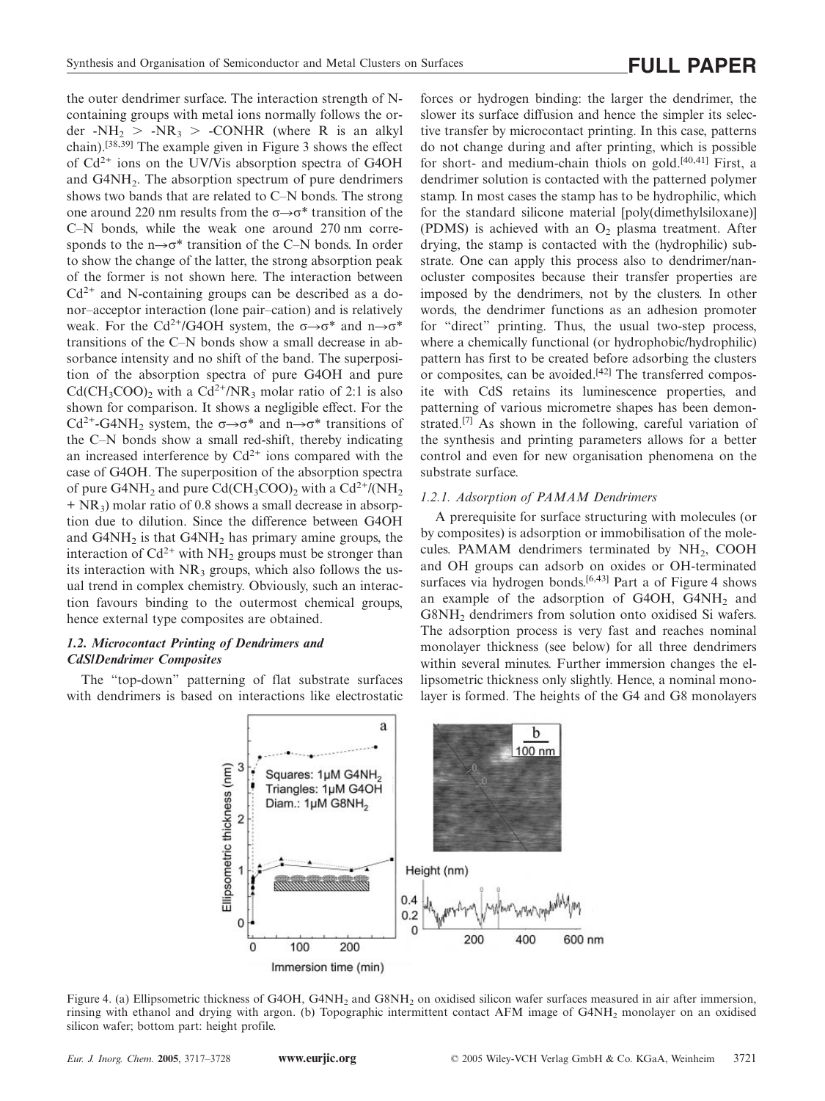the outer dendrimer surface. The interaction strength of Ncontaining groups with metal ions normally follows the order  $-NH_2 > -NR_3 > -CONHR$  (where R is an alkyl chain).[38,39] The example given in Figure 3 shows the effect of Cd2+ ions on the UV/Vis absorption spectra of G4OH and G4NH<sub>2</sub>. The absorption spectrum of pure dendrimers shows two bands that are related to C–N bonds. The strong one around 220 nm results from the  $\sigma \rightarrow \sigma^*$  transition of the C–N bonds, while the weak one around 270 nm corresponds to the  $n\rightarrow \sigma^*$  transition of the C–N bonds. In order to show the change of the latter, the strong absorption peak of the former is not shown here. The interaction between  $Cd^{2+}$  and N-containing groups can be described as a donor–acceptor interaction (lone pair–cation) and is relatively weak. For the Cd<sup>2+</sup>/G4OH system, the  $\sigma \rightarrow \sigma^*$  and  $n \rightarrow \sigma^*$ transitions of the C–N bonds show a small decrease in absorbance intensity and no shift of the band. The superposition of the absorption spectra of pure G4OH and pure  $Cd(CH_3COO)_2$  with a  $Cd^{2+}/NR_3$  molar ratio of 2:1 is also shown for comparison. It shows a negligible effect. For the Cd<sup>2+</sup>-G4NH<sub>2</sub> system, the  $\sigma \rightarrow \sigma^*$  and  $n \rightarrow \sigma^*$  transitions of the C–N bonds show a small red-shift, thereby indicating an increased interference by  $Cd^{2+}$  ions compared with the case of G4OH. The superposition of the absorption spectra of pure G4NH<sub>2</sub> and pure Cd(CH<sub>3</sub>COO)<sub>2</sub> with a Cd<sup>2+</sup>/(NH<sub>2</sub>  $+ NR<sub>3</sub>$ ) molar ratio of 0.8 shows a small decrease in absorption due to dilution. Since the difference between G4OH and  $G4NH<sub>2</sub>$  is that  $G4NH<sub>2</sub>$  has primary amine groups, the interaction of  $Cd^{2+}$  with  $NH_2$  groups must be stronger than its interaction with  $NR_3$  groups, which also follows the usual trend in complex chemistry. Obviously, such an interaction favours binding to the outermost chemical groups, hence external type composites are obtained.

# *1.2. Microcontact Printing of Dendrimers and CdS/Dendrimer Composites*

The "top-down" patterning of flat substrate surfaces with dendrimers is based on interactions like electrostatic forces or hydrogen binding: the larger the dendrimer, the slower its surface diffusion and hence the simpler its selective transfer by microcontact printing. In this case, patterns do not change during and after printing, which is possible for short- and medium-chain thiols on gold.<sup>[40,41]</sup> First, a dendrimer solution is contacted with the patterned polymer stamp. In most cases the stamp has to be hydrophilic, which for the standard silicone material [poly(dimethylsiloxane)] (PDMS) is achieved with an  $O<sub>2</sub>$  plasma treatment. After drying, the stamp is contacted with the (hydrophilic) substrate. One can apply this process also to dendrimer/nanocluster composites because their transfer properties are imposed by the dendrimers, not by the clusters. In other words, the dendrimer functions as an adhesion promoter for "direct" printing. Thus, the usual two-step process, where a chemically functional (or hydrophobic/hydrophilic) pattern has first to be created before adsorbing the clusters or composites, can be avoided.[42] The transferred composite with CdS retains its luminescence properties, and patterning of various micrometre shapes has been demonstrated.[7] As shown in the following, careful variation of the synthesis and printing parameters allows for a better control and even for new organisation phenomena on the substrate surface.

### *1.2.1. Adsorption of PAMAM Dendrimers*

A prerequisite for surface structuring with molecules (or by composites) is adsorption or immobilisation of the molecules. PAMAM dendrimers terminated by NH<sub>2</sub>, COOH and OH groups can adsorb on oxides or OH-terminated surfaces via hydrogen bonds.<sup>[6,43]</sup> Part a of Figure 4 shows an example of the adsorption of G4OH,  $G4NH_2$  and G8NH<sub>2</sub> dendrimers from solution onto oxidised Si wafers. The adsorption process is very fast and reaches nominal monolayer thickness (see below) for all three dendrimers within several minutes. Further immersion changes the ellipsometric thickness only slightly. Hence, a nominal monolayer is formed. The heights of the G4 and G8 monolayers



Figure 4. (a) Ellipsometric thickness of G4OH, G4NH<sub>2</sub> and G8NH<sub>2</sub> on oxidised silicon wafer surfaces measured in air after immersion, rinsing with ethanol and drying with argon. (b) Topographic intermittent contact AFM image of G4NH<sub>2</sub> monolayer on an oxidised silicon wafer; bottom part: height profile.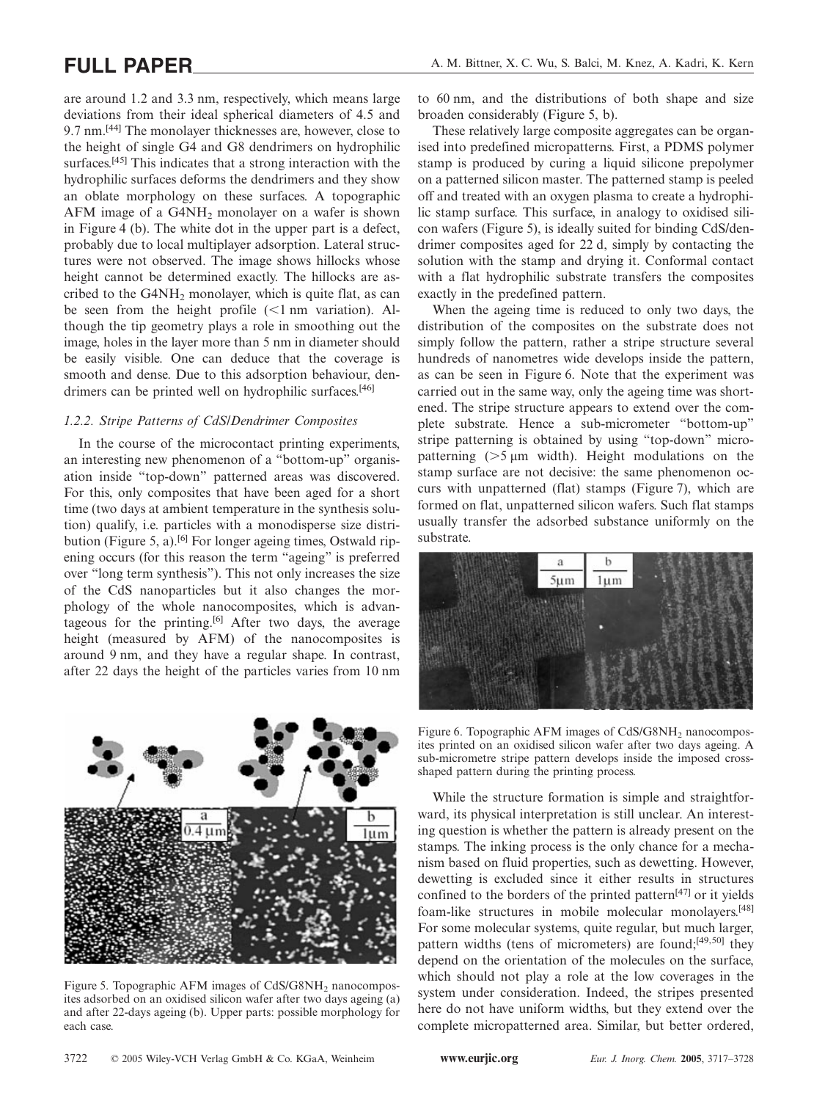are around 1.2 and 3.3 nm, respectively, which means large deviations from their ideal spherical diameters of 4.5 and 9.7 nm.[44] The monolayer thicknesses are, however, close to the height of single G4 and G8 dendrimers on hydrophilic surfaces.<sup>[45]</sup> This indicates that a strong interaction with the hydrophilic surfaces deforms the dendrimers and they show an oblate morphology on these surfaces. A topographic AFM image of a G4NH2 monolayer on a wafer is shown in Figure 4 (b). The white dot in the upper part is a defect, probably due to local multiplayer adsorption. Lateral structures were not observed. The image shows hillocks whose height cannot be determined exactly. The hillocks are ascribed to the  $G4NH<sub>2</sub>$  monolayer, which is quite flat, as can be seen from the height profile  $(<1$  nm variation). Although the tip geometry plays a role in smoothing out the image, holes in the layer more than 5 nm in diameter should be easily visible. One can deduce that the coverage is smooth and dense. Due to this adsorption behaviour, dendrimers can be printed well on hydrophilic surfaces.<sup>[46]</sup>

### *1.2.2. Stripe Patterns of CdS/Dendrimer Composites*

In the course of the microcontact printing experiments, an interesting new phenomenon of a "bottom-up" organisation inside "top-down" patterned areas was discovered. For this, only composites that have been aged for a short time (two days at ambient temperature in the synthesis solution) qualify, i.e. particles with a monodisperse size distribution (Figure 5, a).<sup>[6]</sup> For longer ageing times, Ostwald ripening occurs (for this reason the term "ageing" is preferred over "long term synthesis"). This not only increases the size of the CdS nanoparticles but it also changes the morphology of the whole nanocomposites, which is advantageous for the printing.<sup>[6]</sup> After two days, the average height (measured by AFM) of the nanocomposites is around 9 nm, and they have a regular shape. In contrast, after 22 days the height of the particles varies from 10 nm



Figure 5. Topographic AFM images of CdS/G8NH<sub>2</sub> nanocomposites adsorbed on an oxidised silicon wafer after two days ageing (a) and after 22-days ageing (b). Upper parts: possible morphology for each case.

to 60 nm, and the distributions of both shape and size broaden considerably (Figure 5, b).

These relatively large composite aggregates can be organised into predefined micropatterns. First, a PDMS polymer stamp is produced by curing a liquid silicone prepolymer on a patterned silicon master. The patterned stamp is peeled off and treated with an oxygen plasma to create a hydrophilic stamp surface. This surface, in analogy to oxidised silicon wafers (Figure 5), is ideally suited for binding CdS/dendrimer composites aged for 22 d, simply by contacting the solution with the stamp and drying it. Conformal contact with a flat hydrophilic substrate transfers the composites exactly in the predefined pattern.

When the ageing time is reduced to only two days, the distribution of the composites on the substrate does not simply follow the pattern, rather a stripe structure several hundreds of nanometres wide develops inside the pattern, as can be seen in Figure 6. Note that the experiment was carried out in the same way, only the ageing time was shortened. The stripe structure appears to extend over the complete substrate. Hence a sub-micrometer "bottom-up" stripe patterning is obtained by using "top-down" micropatterning  $($ >5  $\mu$ m width). Height modulations on the stamp surface are not decisive: the same phenomenon occurs with unpatterned (flat) stamps (Figure 7), which are formed on flat, unpatterned silicon wafers. Such flat stamps usually transfer the adsorbed substance uniformly on the substrate.



Figure 6. Topographic AFM images of CdS/G8NH<sub>2</sub> nanocomposites printed on an oxidised silicon wafer after two days ageing. A sub-micrometre stripe pattern develops inside the imposed crossshaped pattern during the printing process.

While the structure formation is simple and straightforward, its physical interpretation is still unclear. An interesting question is whether the pattern is already present on the stamps. The inking process is the only chance for a mechanism based on fluid properties, such as dewetting. However, dewetting is excluded since it either results in structures confined to the borders of the printed pattern[47] or it yields foam-like structures in mobile molecular monolayers.[48] For some molecular systems, quite regular, but much larger, pattern widths (tens of micrometers) are found;[49,50] they depend on the orientation of the molecules on the surface, which should not play a role at the low coverages in the system under consideration. Indeed, the stripes presented here do not have uniform widths, but they extend over the complete micropatterned area. Similar, but better ordered,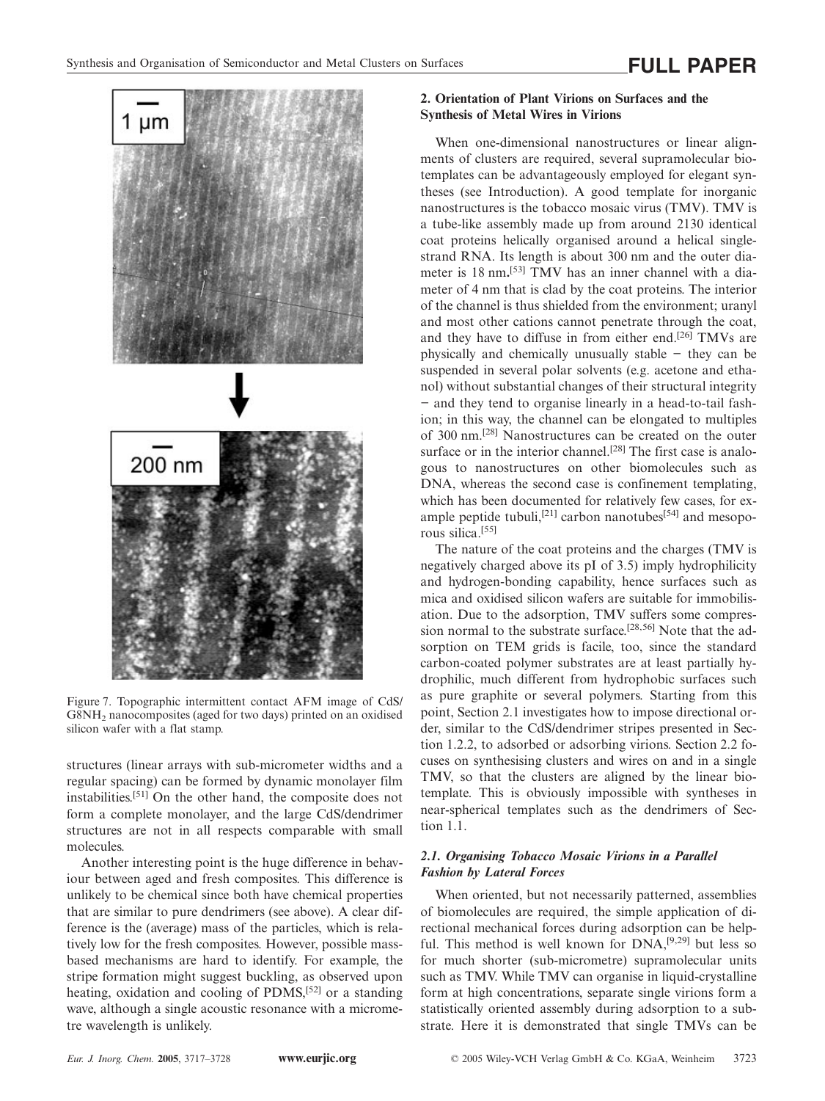

Figure 7. Topographic intermittent contact AFM image of CdS/ G8NH2 nanocomposites (aged for two days) printed on an oxidised silicon wafer with a flat stamp.

structures (linear arrays with sub-micrometer widths and a regular spacing) can be formed by dynamic monolayer film instabilities.[51] On the other hand, the composite does not form a complete monolayer, and the large CdS/dendrimer structures are not in all respects comparable with small molecules.

Another interesting point is the huge difference in behaviour between aged and fresh composites. This difference is unlikely to be chemical since both have chemical properties that are similar to pure dendrimers (see above). A clear difference is the (average) mass of the particles, which is relatively low for the fresh composites. However, possible massbased mechanisms are hard to identify. For example, the stripe formation might suggest buckling, as observed upon heating, oxidation and cooling of PDMS,[52] or a standing wave, although a single acoustic resonance with a micrometre wavelength is unlikely.

## **2. Orientation of Plant Virions on Surfaces and the Synthesis of Metal Wires in Virions**

When one-dimensional nanostructures or linear alignments of clusters are required, several supramolecular biotemplates can be advantageously employed for elegant syntheses (see Introduction). A good template for inorganic nanostructures is the tobacco mosaic virus (TMV). TMV is a tube-like assembly made up from around 2130 identical coat proteins helically organised around a helical singlestrand RNA. Its length is about 300 nm and the outer diameter is 18 nm**.** [53] TMV has an inner channel with a diameter of 4 nm that is clad by the coat proteins. The interior of the channel is thus shielded from the environment; uranyl and most other cations cannot penetrate through the coat, and they have to diffuse in from either end.[26] TMVs are physically and chemically unusually stable − they can be suspended in several polar solvents (e.g. acetone and ethanol) without substantial changes of their structural integrity − and they tend to organise linearly in a head-to-tail fashion; in this way, the channel can be elongated to multiples of 300 nm.[28] Nanostructures can be created on the outer surface or in the interior channel.<sup>[28]</sup> The first case is analogous to nanostructures on other biomolecules such as DNA, whereas the second case is confinement templating, which has been documented for relatively few cases, for example peptide tubuli,<sup>[21]</sup> carbon nanotubes<sup>[54]</sup> and mesoporous silica.[55]

The nature of the coat proteins and the charges (TMV is negatively charged above its pI of 3.5) imply hydrophilicity and hydrogen-bonding capability, hence surfaces such as mica and oxidised silicon wafers are suitable for immobilisation. Due to the adsorption, TMV suffers some compression normal to the substrate surface.<sup>[28,56]</sup> Note that the adsorption on TEM grids is facile, too, since the standard carbon-coated polymer substrates are at least partially hydrophilic, much different from hydrophobic surfaces such as pure graphite or several polymers. Starting from this point, Section 2.1 investigates how to impose directional order, similar to the CdS/dendrimer stripes presented in Section 1.2.2, to adsorbed or adsorbing virions. Section 2.2 focuses on synthesising clusters and wires on and in a single TMV, so that the clusters are aligned by the linear biotemplate. This is obviously impossible with syntheses in near-spherical templates such as the dendrimers of Section 1.1.

## *2.1. Organising Tobacco Mosaic Virions in a Parallel Fashion by Lateral Forces*

When oriented, but not necessarily patterned, assemblies of biomolecules are required, the simple application of directional mechanical forces during adsorption can be helpful. This method is well known for  $DNA$ ,<sup>[9,29]</sup> but less so for much shorter (sub-micrometre) supramolecular units such as TMV. While TMV can organise in liquid-crystalline form at high concentrations, separate single virions form a statistically oriented assembly during adsorption to a substrate. Here it is demonstrated that single TMVs can be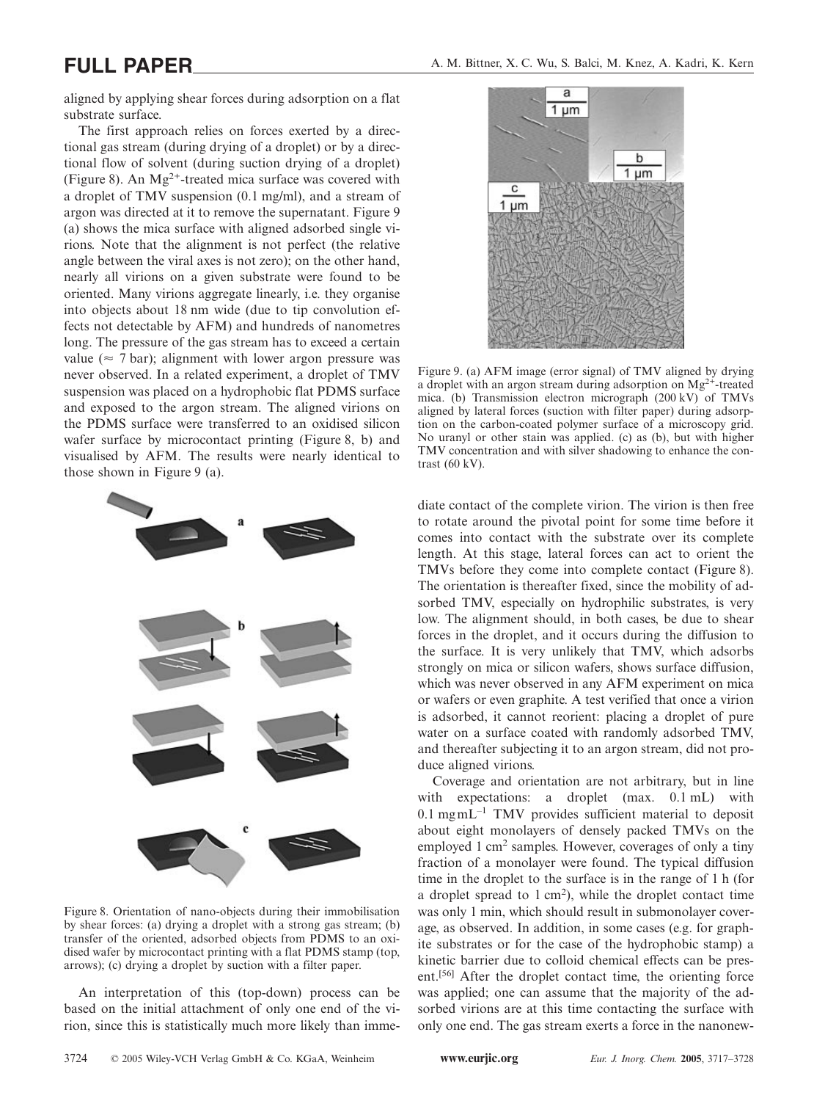aligned by applying shear forces during adsorption on a flat substrate surface.

The first approach relies on forces exerted by a directional gas stream (during drying of a droplet) or by a directional flow of solvent (during suction drying of a droplet) (Figure 8). An  $Mg^{2+}$ -treated mica surface was covered with a droplet of TMV suspension (0.1 mg/ml), and a stream of argon was directed at it to remove the supernatant. Figure 9 (a) shows the mica surface with aligned adsorbed single virions. Note that the alignment is not perfect (the relative angle between the viral axes is not zero); on the other hand, nearly all virions on a given substrate were found to be oriented. Many virions aggregate linearly, i.e. they organise into objects about 18 nm wide (due to tip convolution effects not detectable by AFM) and hundreds of nanometres long. The pressure of the gas stream has to exceed a certain value ( $\approx$  7 bar); alignment with lower argon pressure was never observed. In a related experiment, a droplet of TMV suspension was placed on a hydrophobic flat PDMS surface and exposed to the argon stream. The aligned virions on the PDMS surface were transferred to an oxidised silicon wafer surface by microcontact printing (Figure 8, b) and visualised by AFM. The results were nearly identical to those shown in Figure 9 (a).



Figure 8. Orientation of nano-objects during their immobilisation by shear forces: (a) drying a droplet with a strong gas stream; (b) transfer of the oriented, adsorbed objects from PDMS to an oxidised wafer by microcontact printing with a flat PDMS stamp (top, arrows); (c) drying a droplet by suction with a filter paper.

An interpretation of this (top-down) process can be based on the initial attachment of only one end of the virion, since this is statistically much more likely than imme-



Figure 9. (a) AFM image (error signal) of TMV aligned by drying a droplet with an argon stream during adsorption on  $Mg^{2+}$ -treated mica. (b) Transmission electron micrograph (200 kV) of TMVs aligned by lateral forces (suction with filter paper) during adsorption on the carbon-coated polymer surface of a microscopy grid. No uranyl or other stain was applied. (c) as (b), but with higher TMV concentration and with silver shadowing to enhance the contrast (60 kV).

diate contact of the complete virion. The virion is then free to rotate around the pivotal point for some time before it comes into contact with the substrate over its complete length. At this stage, lateral forces can act to orient the TMVs before they come into complete contact (Figure 8). The orientation is thereafter fixed, since the mobility of adsorbed TMV, especially on hydrophilic substrates, is very low. The alignment should, in both cases, be due to shear forces in the droplet, and it occurs during the diffusion to the surface. It is very unlikely that TMV, which adsorbs strongly on mica or silicon wafers, shows surface diffusion, which was never observed in any AFM experiment on mica or wafers or even graphite. A test verified that once a virion is adsorbed, it cannot reorient: placing a droplet of pure water on a surface coated with randomly adsorbed TMV, and thereafter subjecting it to an argon stream, did not produce aligned virions.

Coverage and orientation are not arbitrary, but in line with expectations: a droplet (max. 0.1 mL) with  $0.1$  mgmL<sup> $-1$ </sup> TMV provides sufficient material to deposit about eight monolayers of densely packed TMVs on the employed 1 cm<sup>2</sup> samples. However, coverages of only a tiny fraction of a monolayer were found. The typical diffusion time in the droplet to the surface is in the range of 1 h (for a droplet spread to 1 cm<sup>2</sup>), while the droplet contact time was only 1 min, which should result in submonolayer coverage, as observed. In addition, in some cases (e.g. for graphite substrates or for the case of the hydrophobic stamp) a kinetic barrier due to colloid chemical effects can be present.[56] After the droplet contact time, the orienting force was applied; one can assume that the majority of the adsorbed virions are at this time contacting the surface with only one end. The gas stream exerts a force in the nanonew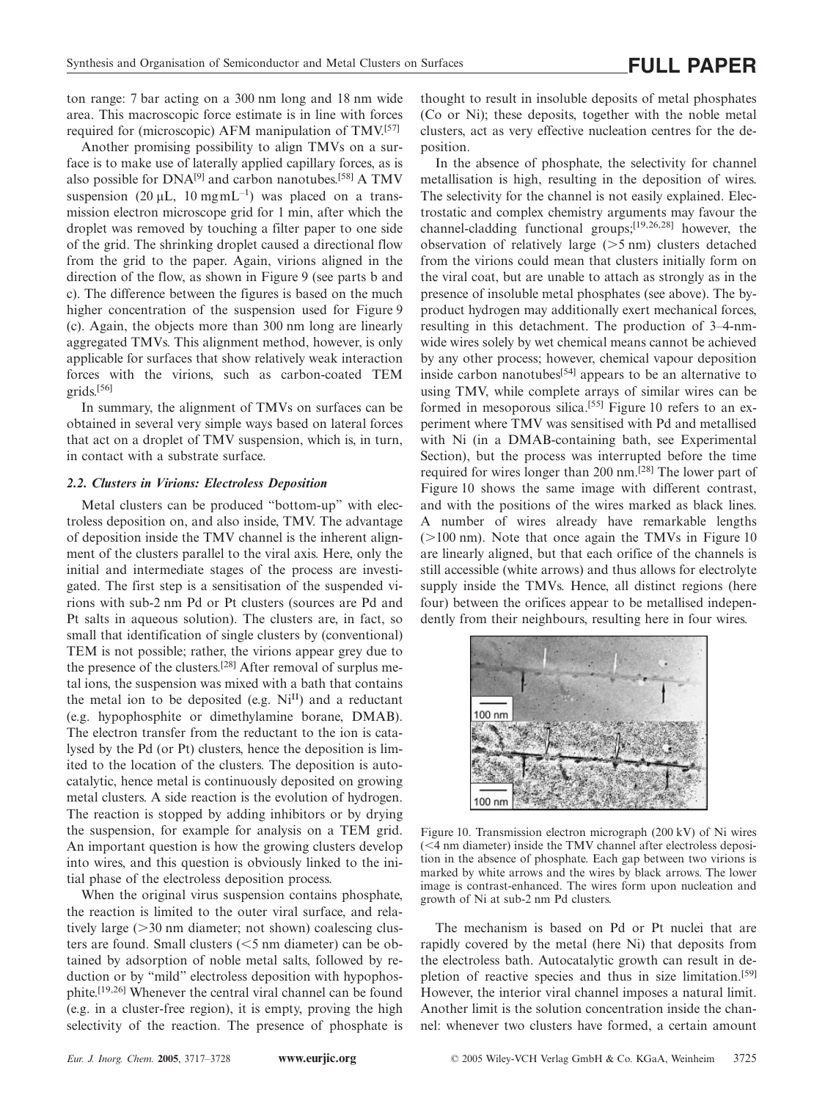ton range: 7 bar acting on a 300 nm long and 18 nm wide area. This macroscopic force estimate is in line with forces required for (microscopic) AFM manipulation of TMV.<sup>[57]</sup>

Another promising possibility to align TMVs on a surface is to make use of laterally applied capillary forces, as is also possible for  $DNA^{[9]}$  and carbon nanotubes.<sup>[58]</sup> A TMV suspension  $(20 \mu L, 10 \text{ mgm}L^{-1})$  was placed on a transmission electron microscope grid for 1 min, after which the droplet was removed by touching a filter paper to one side of the grid. The shrinking droplet caused a directional flow from the grid to the paper. Again, virions aligned in the direction of the flow, as shown in Figure 9 (see parts b and c). The difference between the figures is based on the much higher concentration of the suspension used for Figure 9 (c). Again, the objects more than 300 nm long are linearly aggregated TMVs. This alignment method, however, is only applicable for surfaces that show relatively weak interaction forces with the virions, such as carbon-coated TEM grids.[56]

In summary, the alignment of TMVs on surfaces can be obtained in several very simple ways based on lateral forces that act on a droplet of TMV suspension, which is, in turn, in contact with a substrate surface.

### *2.2. Clusters in Virions: Electroless Deposition*

Metal clusters can be produced "bottom-up" with electroless deposition on, and also inside, TMV. The advantage of deposition inside the TMV channel is the inherent alignment of the clusters parallel to the viral axis. Here, only the initial and intermediate stages of the process are investigated. The first step is a sensitisation of the suspended virions with sub-2 nm Pd or Pt clusters (sources are Pd and Pt salts in aqueous solution). The clusters are, in fact, so small that identification of single clusters by (conventional) TEM is not possible; rather, the virions appear grey due to the presence of the clusters.[28] After removal of surplus metal ions, the suspension was mixed with a bath that contains the metal ion to be deposited (e.g.  $Ni<sup>II</sup>$ ) and a reductant (e.g. hypophosphite or dimethylamine borane, DMAB). The electron transfer from the reductant to the ion is catalysed by the Pd (or Pt) clusters, hence the deposition is limited to the location of the clusters. The deposition is autocatalytic, hence metal is continuously deposited on growing metal clusters. A side reaction is the evolution of hydrogen. The reaction is stopped by adding inhibitors or by drying the suspension, for example for analysis on a TEM grid. An important question is how the growing clusters develop into wires, and this question is obviously linked to the initial phase of the electroless deposition process.

When the original virus suspension contains phosphate, the reaction is limited to the outer viral surface, and relatively large  $(>= 30 \text{ nm}$  diameter; not shown) coalescing clusters are found. Small clusters (<5 nm diameter) can be obtained by adsorption of noble metal salts, followed by reduction or by "mild" electroless deposition with hypophosphite.[19,26] Whenever the central viral channel can be found (e.g. in a cluster-free region), it is empty, proving the high selectivity of the reaction. The presence of phosphate is thought to result in insoluble deposits of metal phosphates (Co or Ni); these deposits, together with the noble metal clusters, act as very effective nucleation centres for the deposition.

In the absence of phosphate, the selectivity for channel metallisation is high, resulting in the deposition of wires. The selectivity for the channel is not easily explained. Electrostatic and complex chemistry arguments may favour the channel-cladding functional groups;[19,26,28] however, the observation of relatively large  $(>5 \text{ nm})$  clusters detached from the virions could mean that clusters initially form on the viral coat, but are unable to attach as strongly as in the presence of insoluble metal phosphates (see above). The byproduct hydrogen may additionally exert mechanical forces, resulting in this detachment. The production of 3–4-nmwide wires solely by wet chemical means cannot be achieved by any other process; however, chemical vapour deposition inside carbon nanotubes $[54]$  appears to be an alternative to using TMV, while complete arrays of similar wires can be formed in mesoporous silica.<sup>[55]</sup> Figure 10 refers to an experiment where TMV was sensitised with Pd and metallised with Ni (in a DMAB-containing bath, see Experimental Section), but the process was interrupted before the time required for wires longer than 200 nm.[28] The lower part of Figure 10 shows the same image with different contrast, and with the positions of the wires marked as black lines. A number of wires already have remarkable lengths  $($ >100 nm). Note that once again the TMVs in Figure 10 are linearly aligned, but that each orifice of the channels is still accessible (white arrows) and thus allows for electrolyte supply inside the TMVs. Hence, all distinct regions (here four) between the orifices appear to be metallised independently from their neighbours, resulting here in four wires.



Figure 10. Transmission electron micrograph (200 kV) of Ni wires (4 nm diameter) inside the TMV channel after electroless deposition in the absence of phosphate. Each gap between two virions is marked by white arrows and the wires by black arrows. The lower image is contrast-enhanced. The wires form upon nucleation and growth of Ni at sub-2 nm Pd clusters.

The mechanism is based on Pd or Pt nuclei that are rapidly covered by the metal (here Ni) that deposits from the electroless bath. Autocatalytic growth can result in depletion of reactive species and thus in size limitation.[59] However, the interior viral channel imposes a natural limit. Another limit is the solution concentration inside the channel: whenever two clusters have formed, a certain amount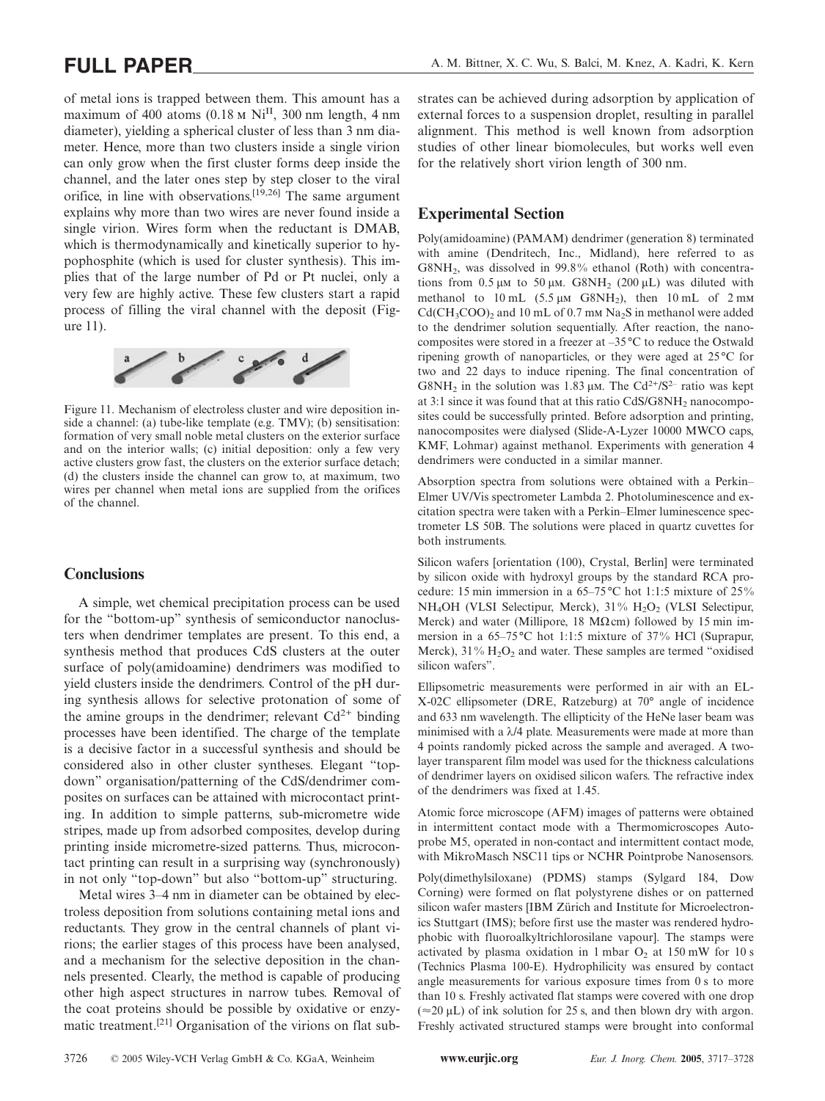of metal ions is trapped between them. This amount has a maximum of 400 atoms (0.18  $\text{M}$  Ni<sup>II</sup>, 300 nm length, 4 nm diameter), yielding a spherical cluster of less than 3 nm diameter. Hence, more than two clusters inside a single virion can only grow when the first cluster forms deep inside the channel, and the later ones step by step closer to the viral orifice, in line with observations.[19,26] The same argument explains why more than two wires are never found inside a single virion. Wires form when the reductant is DMAB, which is thermodynamically and kinetically superior to hypophosphite (which is used for cluster synthesis). This implies that of the large number of Pd or Pt nuclei, only a very few are highly active. These few clusters start a rapid process of filling the viral channel with the deposit (Figure 11).



Figure 11. Mechanism of electroless cluster and wire deposition inside a channel: (a) tube-like template (e.g. TMV); (b) sensitisation: formation of very small noble metal clusters on the exterior surface and on the interior walls; (c) initial deposition: only a few very active clusters grow fast, the clusters on the exterior surface detach; (d) the clusters inside the channel can grow to, at maximum, two wires per channel when metal ions are supplied from the orifices of the channel.

### **Conclusions**

A simple, wet chemical precipitation process can be used for the "bottom-up" synthesis of semiconductor nanoclusters when dendrimer templates are present. To this end, a synthesis method that produces CdS clusters at the outer surface of poly(amidoamine) dendrimers was modified to yield clusters inside the dendrimers. Control of the pH during synthesis allows for selective protonation of some of the amine groups in the dendrimer; relevant  $Cd^{2+}$  binding processes have been identified. The charge of the template is a decisive factor in a successful synthesis and should be considered also in other cluster syntheses. Elegant "topdown" organisation/patterning of the CdS/dendrimer composites on surfaces can be attained with microcontact printing. In addition to simple patterns, sub-micrometre wide stripes, made up from adsorbed composites, develop during printing inside micrometre-sized patterns. Thus, microcontact printing can result in a surprising way (synchronously) in not only "top-down" but also "bottom-up" structuring.

Metal wires 3–4 nm in diameter can be obtained by electroless deposition from solutions containing metal ions and reductants. They grow in the central channels of plant virions; the earlier stages of this process have been analysed, and a mechanism for the selective deposition in the channels presented. Clearly, the method is capable of producing other high aspect structures in narrow tubes. Removal of the coat proteins should be possible by oxidative or enzymatic treatment.[21] Organisation of the virions on flat substrates can be achieved during adsorption by application of external forces to a suspension droplet, resulting in parallel alignment. This method is well known from adsorption studies of other linear biomolecules, but works well even for the relatively short virion length of 300 nm.

# **Experimental Section**

Poly(amidoamine) (PAMAM) dendrimer (generation 8) terminated with amine (Dendritech, Inc., Midland), here referred to as G8NH<sub>2</sub>, was dissolved in  $99.8\%$  ethanol (Roth) with concentrations from  $0.5 \mu M$  to  $50 \mu M$ . G8NH<sub>2</sub> (200  $\mu$ L) was diluted with methanol to  $10 \text{ mL}$  (5.5  $\mu$ M G8NH<sub>2</sub>), then  $10 \text{ mL}$  of  $2 \text{ mm}$  $Cd(CH_3COO)_2$  and 10 mL of 0.7 mm Na<sub>2</sub>S in methanol were added to the dendrimer solution sequentially. After reaction, the nanocomposites were stored in a freezer at –35°C to reduce the Ostwald ripening growth of nanoparticles, or they were aged at 25°C for two and 22 days to induce ripening. The final concentration of G8NH<sub>2</sub> in the solution was 1.83  $\mu$ M. The Cd<sup>2+</sup>/S<sup>2–</sup> ratio was kept at 3:1 since it was found that at this ratio CdS/G8NH<sub>2</sub> nanocomposites could be successfully printed. Before adsorption and printing, nanocomposites were dialysed (Slide-A-Lyzer 10000 MWCO caps, KMF, Lohmar) against methanol. Experiments with generation 4 dendrimers were conducted in a similar manner.

Absorption spectra from solutions were obtained with a Perkin– Elmer UV/Vis spectrometer Lambda 2. Photoluminescence and excitation spectra were taken with a Perkin–Elmer luminescence spectrometer LS 50B. The solutions were placed in quartz cuvettes for both instruments.

Silicon wafers [orientation (100), Crystal, Berlin] were terminated by silicon oxide with hydroxyl groups by the standard RCA procedure: 15 min immersion in a 65–75°C hot 1:1:5 mixture of 25 % NH<sub>4</sub>OH (VLSI Selectipur, Merck), 31% H<sub>2</sub>O<sub>2</sub> (VLSI Selectipur, Merck) and water (Millipore, 18 M $\Omega$ cm) followed by 15 min immersion in a 65–75°C hot 1:1:5 mixture of 37 % HCl (Suprapur, Merck),  $31\%$  H<sub>2</sub>O<sub>2</sub> and water. These samples are termed "oxidised" silicon wafers".

Ellipsometric measurements were performed in air with an EL-X-02C ellipsometer (DRE, Ratzeburg) at 70° angle of incidence and 633 nm wavelength. The ellipticity of the HeNe laser beam was minimised with a  $\lambda$ /4 plate. Measurements were made at more than 4 points randomly picked across the sample and averaged. A twolayer transparent film model was used for the thickness calculations of dendrimer layers on oxidised silicon wafers. The refractive index of the dendrimers was fixed at 1.45.

Atomic force microscope (AFM) images of patterns were obtained in intermittent contact mode with a Thermomicroscopes Autoprobe M5, operated in non-contact and intermittent contact mode, with MikroMasch NSC11 tips or NCHR Pointprobe Nanosensors.

Poly(dimethylsiloxane) (PDMS) stamps (Sylgard 184, Dow Corning) were formed on flat polystyrene dishes or on patterned silicon wafer masters [IBM Zürich and Institute for Microelectronics Stuttgart (IMS); before first use the master was rendered hydrophobic with fluoroalkyltrichlorosilane vapour]. The stamps were activated by plasma oxidation in 1 mbar  $O_2$  at 150 mW for 10 s (Technics Plasma 100-E). Hydrophilicity was ensured by contact angle measurements for various exposure times from 0 s to more than 10 s. Freshly activated flat stamps were covered with one drop  $(\approx 20 \,\mu L)$  of ink solution for 25 s, and then blown dry with argon. Freshly activated structured stamps were brought into conformal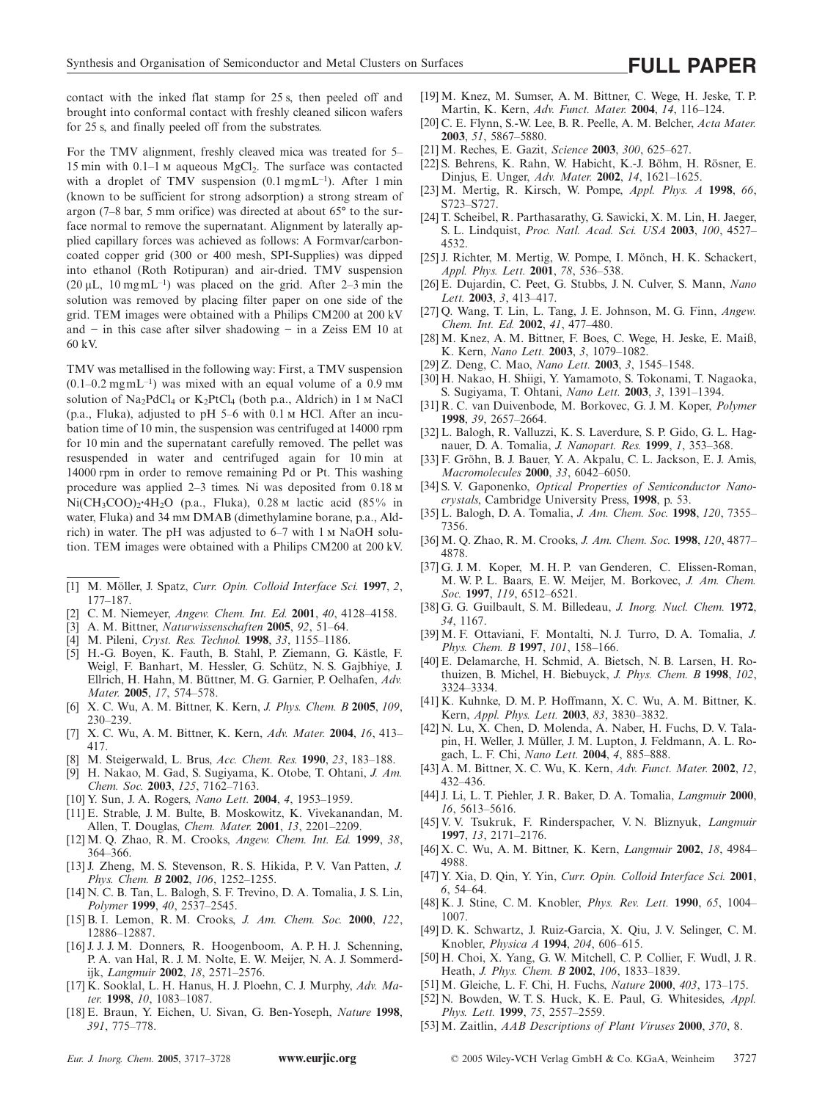contact with the inked flat stamp for 25 s, then peeled off and brought into conformal contact with freshly cleaned silicon wafers for 25 s, and finally peeled off from the substrates.

For the TMV alignment, freshly cleaved mica was treated for 5– 15 min with  $0.1-1$  M aqueous MgCl<sub>2</sub>. The surface was contacted with a droplet of TMV suspension  $(0.1 \text{ mg} \text{m} \text{L}^{-1})$ . After 1 min (known to be sufficient for strong adsorption) a strong stream of argon (7–8 bar, 5 mm orifice) was directed at about 65° to the surface normal to remove the supernatant. Alignment by laterally applied capillary forces was achieved as follows: A Formvar/carboncoated copper grid (300 or 400 mesh, SPI-Supplies) was dipped into ethanol (Roth Rotipuran) and air-dried. TMV suspension  $(20 \mu L, 10 \text{ mg} \text{m} \text{L}^{-1})$  was placed on the grid. After 2-3 min the solution was removed by placing filter paper on one side of the grid. TEM images were obtained with a Philips CM200 at 200 kV and − in this case after silver shadowing − in a Zeiss EM 10 at 60 kV.

TMV was metallised in the following way: First, a TMV suspension  $(0.1-0.2 \text{ mgmL}^{-1})$  was mixed with an equal volume of a 0.9 mm solution of  $Na<sub>2</sub>PdCl<sub>4</sub>$  or  $K<sub>2</sub>PtCl<sub>4</sub>$  (both p.a., Aldrich) in 1 M NaCl (p.a., Fluka), adjusted to pH  $5-6$  with 0.1  $\mu$  HCl. After an incubation time of 10 min, the suspension was centrifuged at 14000 rpm for 10 min and the supernatant carefully removed. The pellet was resuspended in water and centrifuged again for 10 min at 14000 rpm in order to remove remaining Pd or Pt. This washing procedure was applied 2–3 times. Ni was deposited from 0.18 Ni(CH<sub>3</sub>COO)<sub>2</sub>·4H<sub>2</sub>O (p.a., Fluka), 0.28 M lactic acid (85% in water, Fluka) and 34 mm DMAB (dimethylamine borane, p.a., Aldrich) in water. The pH was adjusted to  $6-7$  with 1  $\text{M}$  NaOH solution. TEM images were obtained with a Philips CM200 at 200 kV.

- [1] M. Möller, J. Spatz, *Curr. Opin. Colloid Interface Sci.* **1997**, *2*, 177–187.
- [2] C. M. Niemeyer, *Angew. Chem. Int. Ed.* **2001**, *40*, 4128–4158.
- [3] A. M. Bittner, *Naturwissenschaften* **2005**, *92*, 51–64.
- [4] M. Pileni, *Cryst. Res. Technol.* **1998**, *33*, 1155–1186.
- [5] H.-G. Boyen, K. Fauth, B. Stahl, P. Ziemann, G. Kästle, F. Weigl, F. Banhart, M. Hessler, G. Schütz, N. S. Gajbhiye, J. Ellrich, H. Hahn, M. Büttner, M. G. Garnier, P. Oelhafen, *Adv. Mater.* **2005**, *17*, 574–578.
- [6] X. C. Wu, A. M. Bittner, K. Kern, *J. Phys. Chem. B* **2005**, *109*, 230–239.
- [7] X. C. Wu, A. M. Bittner, K. Kern, *Adv. Mater.* **2004**, *16*, 413– 417.
- [8] M. Steigerwald, L. Brus, *Acc. Chem. Res.* **1990**, *23*, 183–188.
- [9] H. Nakao, M. Gad, S. Sugiyama, K. Otobe, T. Ohtani, *J. Am. Chem. Soc.* **2003**, *125*, 7162–7163.
- [10] Y. Sun, J. A. Rogers, *Nano Lett.* **2004**, *4*, 1953–1959.
- [11] E. Strable, J. M. Bulte, B. Moskowitz, K. Vivekanandan, M. Allen, T. Douglas, *Chem. Mater.* **2001**, *13*, 2201–2209.
- [12] M. Q. Zhao, R. M. Crooks, *Angew. Chem. Int. Ed.* **1999**, *38*, 364–366.
- [13] J. Zheng, M. S. Stevenson, R. S. Hikida, P. V. Van Patten, *J. Phys. Chem. B* **2002**, *106*, 1252–1255.
- [14] N. C. B. Tan, L. Balogh, S. F. Trevino, D. A. Tomalia, J. S. Lin, *Polymer* **1999**, *40*, 2537–2545.
- [15] B. I. Lemon, R. M. Crooks, *J. Am. Chem. Soc.* **2000**, *122*, 12886–12887.
- [16] J. J. J. M. Donners, R. Hoogenboom, A. P. H. J. Schenning, P. A. van Hal, R. J. M. Nolte, E. W. Meijer, N. A. J. Sommerdijk, *Langmuir* **2002**, *18*, 2571–2576.
- [17] K. Sooklal, L. H. Hanus, H. J. Ploehn, C. J. Murphy, *Adv. Mater.* **1998**, *10*, 1083–1087.
- [18] E. Braun, Y. Eichen, U. Sivan, G. Ben-Yoseph, *Nature* **1998**, *391*, 775–778.
- [19] M. Knez, M. Sumser, A. M. Bittner, C. Wege, H. Jeske, T. P. Martin, K. Kern, *Adv. Funct. Mater.* **2004**, *14*, 116–124.
- [20] C. E. Flynn, S.-W. Lee, B. R. Peelle, A. M. Belcher, *Acta Mater.* **2003**, *51*, 5867–5880.
- [21] M. Reches, E. Gazit, *Science* **2003**, *300*, 625–627.
- [22] S. Behrens, K. Rahn, W. Habicht, K.-J. Böhm, H. Rösner, E. Dinjus, E. Unger, *Adv. Mater.* **2002**, *14*, 1621–1625.
- [23] M. Mertig, R. Kirsch, W. Pompe, *Appl. Phys. A* **1998**, *66*, S723–S727.
- [24] T. Scheibel, R. Parthasarathy, G. Sawicki, X. M. Lin, H. Jaeger, S. L. Lindquist, *Proc. Natl. Acad. Sci. USA* **2003**, *100*, 4527– 4532.
- [25] J. Richter, M. Mertig, W. Pompe, I. Mönch, H. K. Schackert, *Appl. Phys. Lett.* **2001**, *78*, 536–538.
- [26] E. Dujardin, C. Peet, G. Stubbs, J. N. Culver, S. Mann, *Nano Lett.* **2003**, *3*, 413–417.
- [27] Q. Wang, T. Lin, L. Tang, J. E. Johnson, M. G. Finn, *Angew. Chem. Int. Ed.* **2002**, *41*, 477–480.
- [28] M. Knez, A. M. Bittner, F. Boes, C. Wege, H. Jeske, E. Maiß, K. Kern, *Nano Lett.* **2003**, *3*, 1079–1082.
- [29] Z. Deng, C. Mao, *Nano Lett.* **2003**, *3*, 1545–1548.
- [30] H. Nakao, H. Shiigi, Y. Yamamoto, S. Tokonami, T. Nagaoka, S. Sugiyama, T. Ohtani, *Nano Lett.* **2003**, *3*, 1391–1394.
- [31] R. C. van Duivenbode, M. Borkovec, G. J. M. Koper, *Polymer* **1998**, *39*, 2657–2664.
- [32] L. Balogh, R. Valluzzi, K. S. Laverdure, S. P. Gido, G. L. Hagnauer, D. A. Tomalia, *J. Nanopart. Res.* **1999**, *1*, 353–368.
- [33] F. Gröhn, B. J. Bauer, Y. A. Akpalu, C. L. Jackson, E. J. Amis, *Macromolecules* **2000**, *33*, 6042–6050.
- [34] S. V. Gaponenko, *Optical Properties of Semiconductor Nanocrystals*, Cambridge University Press, **1998**, p. 53.
- [35] L. Balogh, D. A. Tomalia, *J. Am. Chem. Soc.* **1998**, *120*, 7355– 7356.
- [36] M. Q. Zhao, R. M. Crooks, *J. Am. Chem. Soc.* **1998**, *120*, 4877– 4878.
- [37] G. J. M. Koper, M. H. P. van Genderen, C. Elissen-Roman, M. W. P. L. Baars, E. W. Meijer, M. Borkovec, *J. Am. Chem. Soc.* **1997**, *119*, 6512–6521.
- [38] G. G. Guilbault, S. M. Billedeau, *J. Inorg. Nucl. Chem.* **1972**, *34*, 1167.
- [39] M. F. Ottaviani, F. Montalti, N. J. Turro, D. A. Tomalia, *J. Phys. Chem. B* **1997**, *101*, 158–166.
- [40] E. Delamarche, H. Schmid, A. Bietsch, N. B. Larsen, H. Rothuizen, B. Michel, H. Biebuyck, *J. Phys. Chem. B* **1998**, *102*, 3324–3334.
- [41] K. Kuhnke, D. M. P. Hoffmann, X. C. Wu, A. M. Bittner, K. Kern, *Appl. Phys. Lett.* **2003**, *83*, 3830–3832.
- [42] N. Lu, X. Chen, D. Molenda, A. Naber, H. Fuchs, D. V. Talapin, H. Weller, J. Müller, J. M. Lupton, J. Feldmann, A. L. Rogach, L. F. Chi, *Nano Lett.* **2004**, *4*, 885–888.
- [43] A. M. Bittner, X. C. Wu, K. Kern, *Adv. Funct. Mater.* **2002**, *12*, 432–436.
- [44] J. Li, L. T. Piehler, J. R. Baker, D. A. Tomalia, *Langmuir* **2000**, *16*, 5613–5616.
- [45] V. V. Tsukruk, F. Rinderspacher, V. N. Bliznyuk, *Langmuir* **1997**, *13*, 2171–2176.
- [46] X. C. Wu, A. M. Bittner, K. Kern, *Langmuir* **2002**, *18*, 4984– 4988.
- [47] Y. Xia, D. Qin, Y. Yin, *Curr. Opin. Colloid Interface Sci.* **2001**, *6*, 54–64.
- [48] K. J. Stine, C. M. Knobler, *Phys. Rev. Lett.* **1990**, *65*, 1004– 1007.
- [49] D. K. Schwartz, J. Ruiz-Garcia, X. Qiu, J. V. Selinger, C. M. Knobler, *Physica A* **1994**, *204*, 606–615.
- [50] H. Choi, X. Yang, G. W. Mitchell, C. P. Collier, F. Wudl, J. R. Heath, *J. Phys. Chem. B* **2002**, *106*, 1833–1839.
- [51] M. Gleiche, L. F. Chi, H. Fuchs, *Nature* **2000**, *403*, 173–175.
- [52] N. Bowden, W. T. S. Huck, K. E. Paul, G. Whitesides, *Appl. Phys. Lett.* **1999**, *75*, 2557–2559.
- [53] M. Zaitlin, *AAB Descriptions of Plant Viruses* **2000**, *370*, 8.

*Eur. J. Inorg. Chem.* **2005**, 3717–3728 **www.eurjic.org** © 2005 Wiley-VCH Verlag GmbH & Co. KGaA, Weinheim 3727